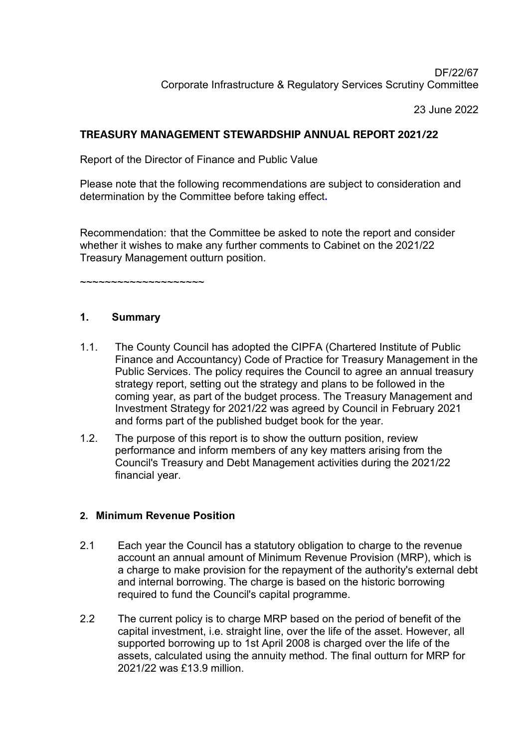# DF/22/67 Corporate Infrastructure & Regulatory Services Scrutiny Committee

23 June 2022

# **TREASURY MANAGEMENT STEWARDSHIP ANNUAL REPORT 2021/22**

Report of the Director of Finance and Public Value

Please note that the following recommendations are subject to consideration and determination by the Committee before taking effect**.** 

Recommendation: that the Committee be asked to note the report and consider whether it wishes to make any further comments to Cabinet on the 2021/22 Treasury Management outturn position.

~~~~~~~~~~~~~~~~~~~~

## **1. Summary**

- 1.1. The County Council has adopted the CIPFA (Chartered Institute of Public Finance and Accountancy) Code of Practice for Treasury Management in the Public Services. The policy requires the Council to agree an annual treasury strategy report, setting out the strategy and plans to be followed in the coming year, as part of the budget process. The Treasury Management and Investment Strategy for 2021/22 was agreed by Council in February 2021 and forms part of the published budget book for the year.
- 1.2. The purpose of this report is to show the outturn position, review performance and inform members of any key matters arising from the Council's Treasury and Debt Management activities during the 2021/22 financial year.

# **2. Minimum Revenue Position**

- 2.1 Each year the Council has a statutory obligation to charge to the revenue account an annual amount of Minimum Revenue Provision (MRP), which is a charge to make provision for the repayment of the authority's external debt and internal borrowing. The charge is based on the historic borrowing required to fund the Council's capital programme.
- 2.2 The current policy is to charge MRP based on the period of benefit of the capital investment, i.e. straight line, over the life of the asset. However, all supported borrowing up to 1st April 2008 is charged over the life of the assets, calculated using the annuity method. The final outturn for MRP for 2021/22 was £13.9 million.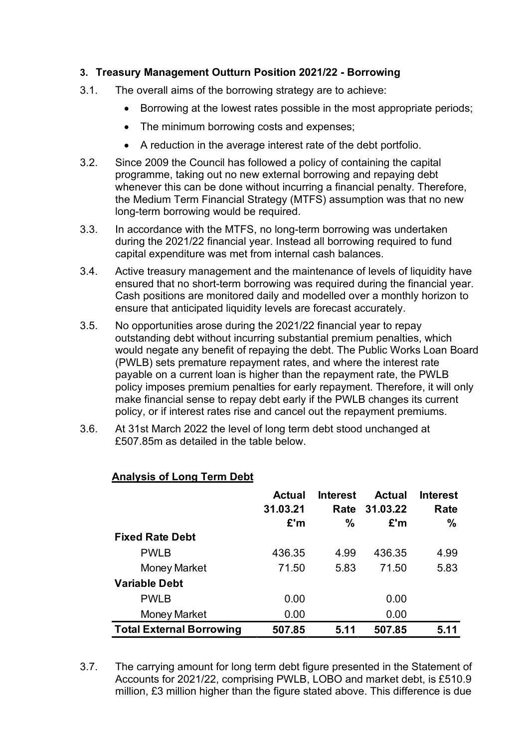# **3. Treasury Management Outturn Position 2021/22 - Borrowing**

- 3.1. The overall aims of the borrowing strategy are to achieve:
	- **•** Borrowing at the lowest rates possible in the most appropriate periods;
	- The minimum borrowing costs and expenses;
	- A reduction in the average interest rate of the debt portfolio.
- 3.2. Since 2009 the Council has followed a policy of containing the capital programme, taking out no new external borrowing and repaying debt whenever this can be done without incurring a financial penalty. Therefore, the Medium Term Financial Strategy (MTFS) assumption was that no new long-term borrowing would be required.
- 3.3. In accordance with the MTFS, no long-term borrowing was undertaken during the 2021/22 financial year. Instead all borrowing required to fund capital expenditure was met from internal cash balances.
- 3.4. Active treasury management and the maintenance of levels of liquidity have ensured that no short-term borrowing was required during the financial year. Cash positions are monitored daily and modelled over a monthly horizon to ensure that anticipated liquidity levels are forecast accurately.
- 3.5. No opportunities arose during the 2021/22 financial year to repay outstanding debt without incurring substantial premium penalties, which would negate any benefit of repaying the debt. The Public Works Loan Board (PWLB) sets premature repayment rates, and where the interest rate payable on a current loan is higher than the repayment rate, the PWLB policy imposes premium penalties for early repayment. Therefore, it will only make financial sense to repay debt early if the PWLB changes its current policy, or if interest rates rise and cancel out the repayment premiums.
- 3.6. At 31st March 2022 the level of long term debt stood unchanged at £507.85m as detailed in the table below.

|                                 | <b>Actual</b><br>31.03.21<br>£'m | <b>Interest</b><br>Rate<br>% | <b>Actual</b><br>31.03.22<br>E'm | <b>Interest</b><br>Rate<br>$\frac{0}{0}$ |
|---------------------------------|----------------------------------|------------------------------|----------------------------------|------------------------------------------|
| <b>Fixed Rate Debt</b>          |                                  |                              |                                  |                                          |
| <b>PWLB</b>                     | 436.35                           | 4.99                         | 436.35                           | 4.99                                     |
| Money Market                    | 71.50                            | 5.83                         | 71.50                            | 5.83                                     |
| <b>Variable Debt</b>            |                                  |                              |                                  |                                          |
| <b>PWLB</b>                     | 0.00                             |                              | 0.00                             |                                          |
| Money Market                    | 0.00                             |                              | 0.00                             |                                          |
| <b>Total External Borrowing</b> | 507.85                           | 5.11                         | 507.85                           | 5.11                                     |

# **Analysis of Long Term Debt**

3.7. The carrying amount for long term debt figure presented in the Statement of Accounts for 2021/22, comprising PWLB, LOBO and market debt, is £510.9 million, £3 million higher than the figure stated above. This difference is due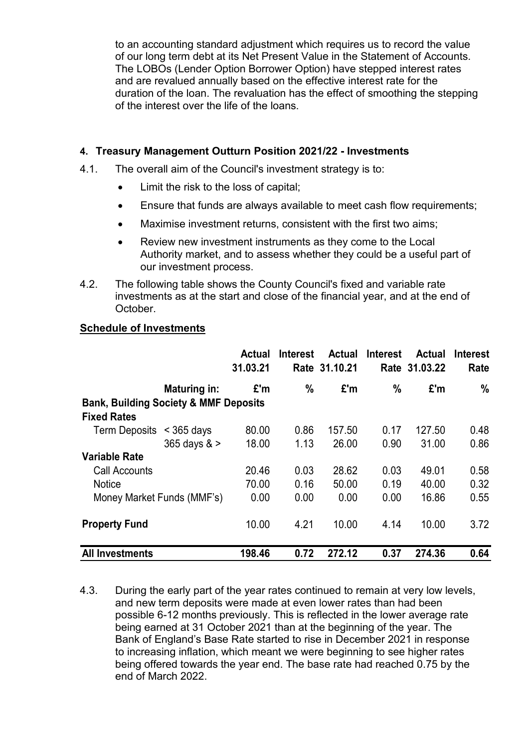to an accounting standard adjustment which requires us to record the value of our long term debt at its Net Present Value in the Statement of Accounts. The LOBOs (Lender Option Borrower Option) have stepped interest rates and are revalued annually based on the effective interest rate for the duration of the loan. The revaluation has the effect of smoothing the stepping of the interest over the life of the loans.

## **4. Treasury Management Outturn Position 2021/22 - Investments**

- 4.1. The overall aim of the Council's investment strategy is to:
	- Limit the risk to the loss of capital;
	- Ensure that funds are always available to meet cash flow requirements;
	- Maximise investment returns, consistent with the first two aims;
	- Review new investment instruments as they come to the Local Authority market, and to assess whether they could be a useful part of our investment process.
- 4.2. The following table shows the County Council's fixed and variable rate investments as at the start and close of the financial year, and at the end of October.

#### **Schedule of Investments**

|                                                  |                     | <b>Actual</b><br>31.03.21 | <b>Interest</b> | <b>Actual</b><br>Rate 31.10.21 | <b>Interest</b> | Actual<br>Rate 31.03.22 | <b>Interest</b><br>Rate |  |  |  |  |
|--------------------------------------------------|---------------------|---------------------------|-----------------|--------------------------------|-----------------|-------------------------|-------------------------|--|--|--|--|
|                                                  | <b>Maturing in:</b> | £'m                       | $\frac{0}{0}$   | £'m                            | $\frac{0}{0}$   | £'m                     | $\frac{0}{0}$           |  |  |  |  |
| <b>Bank, Building Society &amp; MMF Deposits</b> |                     |                           |                 |                                |                 |                         |                         |  |  |  |  |
| <b>Fixed Rates</b>                               |                     |                           |                 |                                |                 |                         |                         |  |  |  |  |
| <b>Term Deposits</b>                             | $<$ 365 days        | 80.00                     | 0.86            | 157.50                         | 0.17            | 127.50                  | 0.48                    |  |  |  |  |
|                                                  | 365 days $>$        | 18.00                     | 1.13            | 26.00                          | 0.90            | 31.00                   | 0.86                    |  |  |  |  |
| <b>Variable Rate</b>                             |                     |                           |                 |                                |                 |                         |                         |  |  |  |  |
| Call Accounts                                    |                     | 20.46                     | 0.03            | 28.62                          | 0.03            | 49.01                   | 0.58                    |  |  |  |  |
| <b>Notice</b>                                    |                     | 70.00                     | 0.16            | 50.00                          | 0.19            | 40.00                   | 0.32                    |  |  |  |  |
| Money Market Funds (MMF's)                       |                     | 0.00                      | 0.00            | 0.00                           | 0.00            | 16.86                   | 0.55                    |  |  |  |  |
| <b>Property Fund</b>                             |                     | 10.00                     | 4.21            | 10.00                          | 4.14            | 10.00                   | 3.72                    |  |  |  |  |
| <b>All Investments</b>                           |                     | 198.46                    | 0.72            | 272.12                         | 0.37            | 274.36                  | 0.64                    |  |  |  |  |

4.3. During the early part of the year rates continued to remain at very low levels, and new term deposits were made at even lower rates than had been possible 6-12 months previously. This is reflected in the lower average rate being earned at 31 October 2021 than at the beginning of the year. The Bank of England's Base Rate started to rise in December 2021 in response to increasing inflation, which meant we were beginning to see higher rates being offered towards the year end. The base rate had reached 0.75 by the end of March 2022.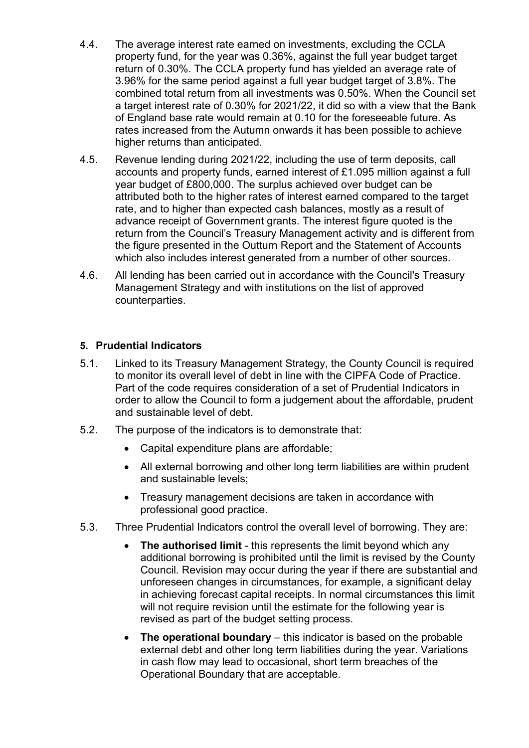- 4.4. The average interest rate earned on investments, excluding the CCLA property fund, for the year was 0.36%, against the full year budget target return of 0.30%. The CCLA property fund has yielded an average rate of 3.96% for the same period against a full year budget target of 3.8%. The combined total return from all investments was 0.50%. When the Council set a target interest rate of 0.30% for 2021/22, it did so with a view that the Bank of England base rate would remain at 0.10 for the foreseeable future. As rates increased from the Autumn onwards it has been possible to achieve higher returns than anticipated.
- 4.5. Revenue lending during 2021/22, including the use of term deposits, call accounts and property funds, earned interest of £1.095 million against a full year budget of £800,000. The surplus achieved over budget can be attributed both to the higher rates of interest earned compared to the target rate, and to higher than expected cash balances, mostly as a result of advance receipt of Government grants. The interest figure quoted is the return from the Council's Treasury Management activity and is different from the figure presented in the Outturn Report and the Statement of Accounts which also includes interest generated from a number of other sources.
- 4.6. All lending has been carried out in accordance with the Council's Treasury Management Strategy and with institutions on the list of approved counterparties.

## **5. Prudential Indicators**

- 5.1. Linked to its Treasury Management Strategy, the County Council is required to monitor its overall level of debt in line with the CIPFA Code of Practice. Part of the code requires consideration of a set of Prudential Indicators in order to allow the Council to form a judgement about the affordable, prudent and sustainable level of debt.
- 5.2. The purpose of the indicators is to demonstrate that:
	- Capital expenditure plans are affordable;
	- All external borrowing and other long term liabilities are within prudent and sustainable levels;
	- Treasury management decisions are taken in accordance with professional good practice.
- 5.3. Three Prudential Indicators control the overall level of borrowing. They are:
	- **The authorised limit** this represents the limit beyond which any additional borrowing is prohibited until the limit is revised by the County Council. Revision may occur during the year if there are substantial and unforeseen changes in circumstances, for example, a significant delay in achieving forecast capital receipts. In normal circumstances this limit will not require revision until the estimate for the following year is revised as part of the budget setting process.
	- **The operational boundary** this indicator is based on the probable external debt and other long term liabilities during the year. Variations in cash flow may lead to occasional, short term breaches of the Operational Boundary that are acceptable.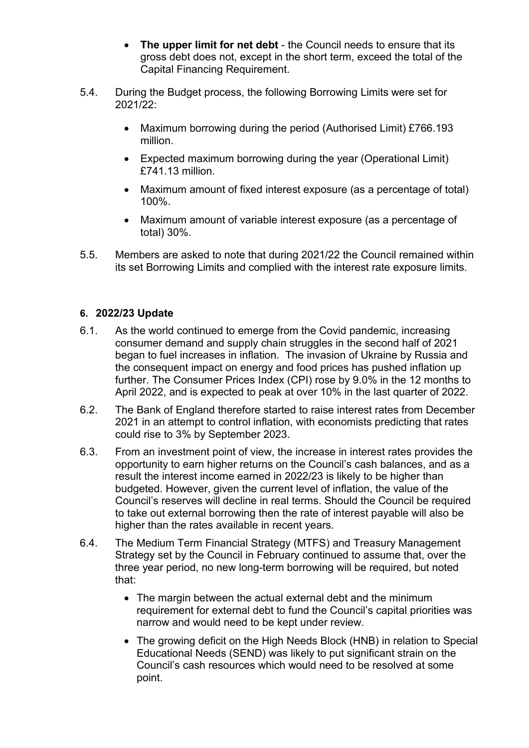- **The upper limit for net debt**  the Council needs to ensure that its gross debt does not, except in the short term, exceed the total of the Capital Financing Requirement.
- 5.4. During the Budget process, the following Borrowing Limits were set for 2021/22:
	- Maximum borrowing during the period (Authorised Limit) £766.193 million.
	- Expected maximum borrowing during the year (Operational Limit) £741.13 million.
	- Maximum amount of fixed interest exposure (as a percentage of total) 100%.
	- Maximum amount of variable interest exposure (as a percentage of total) 30%.
- 5.5. Members are asked to note that during 2021/22 the Council remained within its set Borrowing Limits and complied with the interest rate exposure limits.

# **6. 2022/23 Update**

- 6.1. As the world continued to emerge from the Covid pandemic, increasing consumer demand and supply chain struggles in the second half of 2021 began to fuel increases in inflation. The invasion of Ukraine by Russia and the consequent impact on energy and food prices has pushed inflation up further. The Consumer Prices Index (CPI) rose by 9.0% in the 12 months to April 2022, and is expected to peak at over 10% in the last quarter of 2022.
- 6.2. The Bank of England therefore started to raise interest rates from December 2021 in an attempt to control inflation, with economists predicting that rates could rise to 3% by September 2023.
- 6.3. From an investment point of view, the increase in interest rates provides the opportunity to earn higher returns on the Council's cash balances, and as a result the interest income earned in 2022/23 is likely to be higher than budgeted. However, given the current level of inflation, the value of the Council's reserves will decline in real terms. Should the Council be required to take out external borrowing then the rate of interest payable will also be higher than the rates available in recent years.
- 6.4. The Medium Term Financial Strategy (MTFS) and Treasury Management Strategy set by the Council in February continued to assume that, over the three year period, no new long-term borrowing will be required, but noted that:
	- The margin between the actual external debt and the minimum requirement for external debt to fund the Council's capital priorities was narrow and would need to be kept under review.
	- The growing deficit on the High Needs Block (HNB) in relation to Special Educational Needs (SEND) was likely to put significant strain on the Council's cash resources which would need to be resolved at some point.